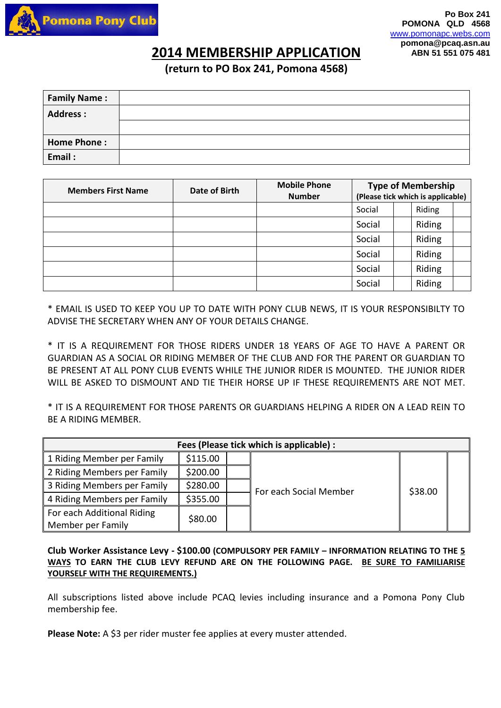

## **2014 MEMBERSHIP APPLICATION ABN 51 551 075 481**

**(return to PO Box 241, Pomona 4568)** 

| <b>Family Name:</b> |  |
|---------------------|--|
| <b>Address:</b>     |  |
|                     |  |
| <b>Home Phone:</b>  |  |
| Email:              |  |

| <b>Members First Name</b> | Date of Birth | <b>Mobile Phone</b><br><b>Number</b> | <b>Type of Membership</b><br>(Please tick which is applicable) |  |        |  |
|---------------------------|---------------|--------------------------------------|----------------------------------------------------------------|--|--------|--|
|                           |               |                                      | Social                                                         |  | Riding |  |
|                           |               |                                      | Social                                                         |  | Riding |  |
|                           |               |                                      | Social                                                         |  | Riding |  |
|                           |               |                                      | Social                                                         |  | Riding |  |
|                           |               |                                      | Social                                                         |  | Riding |  |
|                           |               |                                      | Social                                                         |  | Riding |  |

\* EMAIL IS USED TO KEEP YOU UP TO DATE WITH PONY CLUB NEWS, IT IS YOUR RESPONSIBILTY TO ADVISE THE SECRETARY WHEN ANY OF YOUR DETAILS CHANGE.

\* IT IS A REQUIREMENT FOR THOSE RIDERS UNDER 18 YEARS OF AGE TO HAVE A PARENT OR GUARDIAN AS A SOCIAL OR RIDING MEMBER OF THE CLUB AND FOR THE PARENT OR GUARDIAN TO BE PRESENT AT ALL PONY CLUB EVENTS WHILE THE JUNIOR RIDER IS MOUNTED. THE JUNIOR RIDER WILL BE ASKED TO DISMOUNT AND TIE THEIR HORSE UP IF THESE REQUIREMENTS ARE NOT MET.

\* IT IS A REQUIREMENT FOR THOSE PARENTS OR GUARDIANS HELPING A RIDER ON A LEAD REIN TO BE A RIDING MEMBER.

| Fees (Please tick which is applicable) :                   |          |  |                        |         |  |  |  |  |  |
|------------------------------------------------------------|----------|--|------------------------|---------|--|--|--|--|--|
| 1 Riding Member per Family                                 | \$115.00 |  |                        | \$38.00 |  |  |  |  |  |
| 2 Riding Members per Family                                | \$200.00 |  |                        |         |  |  |  |  |  |
| 3 Riding Members per Family                                | \$280.00 |  | For each Social Member |         |  |  |  |  |  |
| 4 Riding Members per Family                                | \$355.00 |  |                        |         |  |  |  |  |  |
| For each Additional Riding<br>\$80.00<br>Member per Family |          |  |                        |         |  |  |  |  |  |
|                                                            |          |  |                        |         |  |  |  |  |  |

**Club Worker Assistance Levy - \$100.00 (COMPULSORY PER FAMILY – INFORMATION RELATING TO THE 5 WAYS TO EARN THE CLUB LEVY REFUND ARE ON THE FOLLOWING PAGE. BE SURE TO FAMILIARISE YOURSELF WITH THE REQUIREMENTS.)**

All subscriptions listed above include PCAQ levies including insurance and a Pomona Pony Club membership fee.

Please Note: A \$3 per rider muster fee applies at every muster attended.